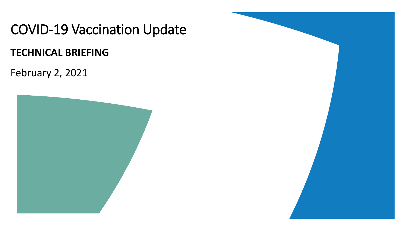COVID-19 Vaccination Update

#### **TECHNICAL BRIEFING**

February 2, 2021



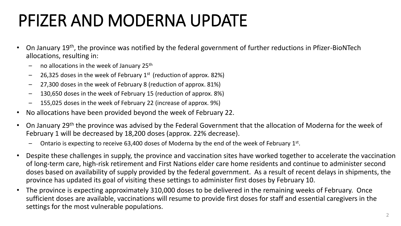# PFIZER AND MODERNA UPDATE

- On January 19th, the province was notified by the federal government of further reductions in Pfizer-BioNTech allocations, resulting in:
	- no allocations in the week of January 25<sup>th</sup>
	- 26,325 doses in the week of February  $1<sup>st</sup>$  (reduction of approx. 82%)
	- 27,300 doses in the week of February 8 (reduction of approx. 81%)
	- 130,650 doses in the week of February 15 (reduction of approx. 8%)
	- 155,025 doses in the week of February 22 (increase of approx. 9%)
- No allocations have been provided beyond the week of February 22.
- On January 29th the province was advised by the Federal Government that the allocation of Moderna for the week of February 1 will be decreased by 18,200 doses (approx. 22% decrease).
	- $-$  Ontario is expecting to receive 63,400 doses of Moderna by the end of the week of February 1st.
- Despite these challenges in supply, the province and vaccination sites have worked together to accelerate the vaccination of long-term care, high-risk retirement and First Nations elder care home residents and continue to administer second doses based on availability of supply provided by the federal government. As a result of recent delays in shipments, the province has updated its goal of visiting these settings to administer first doses by February 10.
- The province is expecting approximately 310,000 doses to be delivered in the remaining weeks of February. Once sufficient doses are available, vaccinations will resume to provide first doses for staff and essential caregivers in the settings for the most vulnerable populations.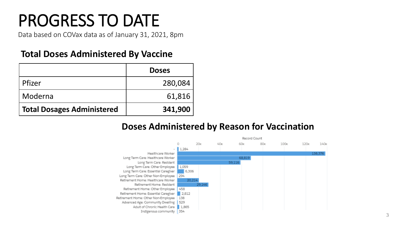### PROGRESS TO DATE

Data based on COVax data as of January 31, 2021, 8pm

#### **Total Doses Administered By Vaccine**

|                                   | <b>Doses</b> |
|-----------------------------------|--------------|
| Pfizer                            | 280,084      |
| Moderna                           | 61,816       |
| <b>Total Dosages Administered</b> | 341,900      |

#### **Doses Administered by Reason for Vaccination**

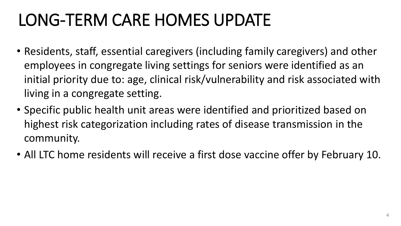### LONG-TERM CARE HOMES UPDATE

- Residents, staff, essential caregivers (including family caregivers) and other employees in congregate living settings for seniors were identified as an initial priority due to: age, clinical risk/vulnerability and risk associated with living in a congregate setting.
- Specific public health unit areas were identified and prioritized based on highest risk categorization including rates of disease transmission in the community.
- All LTC home residents will receive a first dose vaccine offer by February 10.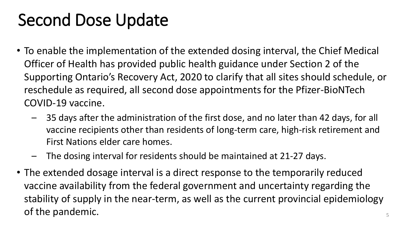#### Second Dose Update

- To enable the implementation of the extended dosing interval, the Chief Medical Officer of Health has provided public health guidance under Section 2 of the Supporting Ontario's Recovery Act, 2020 to clarify that all sites should schedule, or reschedule as required, all second dose appointments for the Pfizer-BioNTech COVID-19 vaccine.
	- 35 days after the administration of the first dose, and no later than 42 days, for all vaccine recipients other than residents of long-term care, high-risk retirement and First Nations elder care homes.
	- The dosing interval for residents should be maintained at 21-27 days.
- The extended dosage interval is a direct response to the temporarily reduced vaccine availability from the federal government and uncertainty regarding the stability of supply in the near-term, as well as the current provincial epidemiology of the pandemic.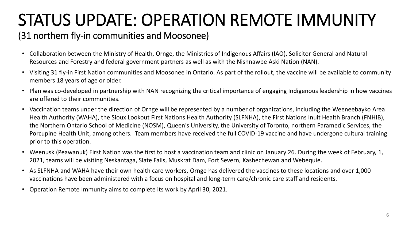# STATUS UPDATE: OPERATION REMOTE IMMUNITY

#### (31 northern fly-in communities and Moosonee)

- Collaboration between the Ministry of Health, Ornge, the Ministries of Indigenous Affairs (IAO), Solicitor General and Natural Resources and Forestry and federal government partners as well as with the Nishnawbe Aski Nation (NAN).
- Visiting 31 fly-in First Nation communities and Moosonee in Ontario. As part of the rollout, the vaccine will be available to community members 18 years of age or older.
- Plan was co-developed in partnership with NAN recognizing the critical importance of engaging Indigenous leadership in how vaccines are offered to their communities.
- Vaccination teams under the direction of Ornge will be represented by a number of organizations, including the Weeneebayko Area Health Authority (WAHA), the Sioux Lookout First Nations Health Authority (SLFNHA), the First Nations Inuit Health Branch (FNHIB), the Northern Ontario School of Medicine (NOSM), Queen's University, the University of Toronto, northern Paramedic Services, the Porcupine Health Unit, among others. Team members have received the full COVID-19 vaccine and have undergone cultural training prior to this operation.
- Weenusk (Peawanuk) First Nation was the first to host a vaccination team and clinic on January 26. During the week of February, 1, 2021, teams will be visiting Neskantaga, Slate Falls, Muskrat Dam, Fort Severn, Kashechewan and Webequie.
- As SLFNHA and WAHA have their own health care workers, Ornge has delivered the vaccines to these locations and over 1,000 vaccinations have been administered with a focus on hospital and long-term care/chronic care staff and residents.
- Operation Remote Immunity aims to complete its work by April 30, 2021.